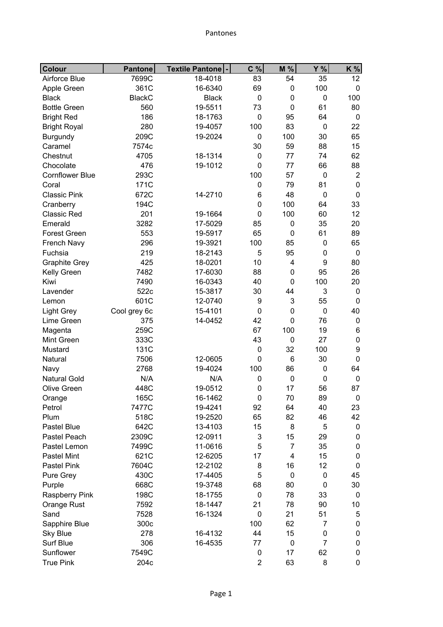| <b>Colour</b>          | <b>Pantone</b> | Textile Pantone  - | C %         | M %            | Y %            | K%               |
|------------------------|----------------|--------------------|-------------|----------------|----------------|------------------|
| Airforce Blue          | 7699C          | 18-4018            | 83          | 54             | 35             | 12               |
| Apple Green            | 361C           | 16-6340            | 69          | $\mathbf 0$    | 100            | 0                |
| <b>Black</b>           | <b>BlackC</b>  | <b>Black</b>       | $\mathbf 0$ | $\mathbf 0$    | $\mathbf 0$    | 100              |
| <b>Bottle Green</b>    | 560            | 19-5511            | 73          | $\mathbf 0$    | 61             | 80               |
| <b>Bright Red</b>      | 186            | 18-1763            | $\mathbf 0$ | 95             | 64             | 0                |
| <b>Bright Royal</b>    | 280            | 19-4057            | 100         | 83             | $\mathbf 0$    | 22               |
| <b>Burgundy</b>        | 209C           | 19-2024            | $\mathbf 0$ | 100            | 30             | 65               |
| Caramel                | 7574c          |                    | 30          | 59             | 88             | 15               |
| Chestnut               | 4705           | 18-1314            | $\mathbf 0$ | 77             | 74             | 62               |
| Chocolate              | 476            | 19-1012            | 0           | 77             | 66             | 88               |
| <b>Cornflower Blue</b> | 293C           |                    | 100         | 57             | $\mathbf 0$    | $\overline{2}$   |
| Coral                  | 171C           |                    | 0           | 79             | 81             | 0                |
| <b>Classic Pink</b>    | 672C           | 14-2710            | 6           | 48             | $\mathbf 0$    | $\mathbf 0$      |
| Cranberry              | 194C           |                    | 0           | 100            | 64             | 33               |
| <b>Classic Red</b>     | 201            | 19-1664            | 0           | 100            | 60             | 12               |
| Emerald                | 3282           | 17-5029            | 85          | $\pmb{0}$      | 35             | 20               |
| <b>Forest Green</b>    | 553            | 19-5917            | 65          | $\mathbf 0$    | 61             | 89               |
| French Navy            | 296            | 19-3921            | 100         | 85             | $\mathbf 0$    | 65               |
| Fuchsia                | 219            | 18-2143            | 5           | 95             | $\mathbf 0$    | $\mathbf 0$      |
| <b>Graphite Grey</b>   | 425            | 18-0201            | 10          | 4              | 9              | 80               |
| Kelly Green            | 7482           | 17-6030            | 88          | $\mathbf 0$    | 95             | 26               |
| Kiwi                   | 7490           | 16-0343            | 40          | $\mathbf 0$    | 100            | 20               |
| Lavender               | 522c           | 15-3817            | 30          | 44             | 3              | 0                |
| Lemon                  | 601C           | 12-0740            | 9           | 3              | 55             | 0                |
| <b>Light Grey</b>      | Cool grey 6c   | 15-4101            | 0           | $\mathbf 0$    | $\mathbf 0$    | 40               |
| Lime Green             | 375            | 14-0452            | 42          | $\mathbf 0$    | 76             | 0                |
| Magenta                | 259C           |                    | 67          | 100            | 19             | 6                |
| Mint Green             | 333C           |                    | 43          | $\mathbf 0$    | 27             | 0                |
| Mustard                | 131C           |                    | $\mathbf 0$ | 32             | 100            | 9                |
| Natural                | 7506           | 12-0605            | $\mathbf 0$ | 6              | 30             | $\mathbf 0$      |
| Navy                   | 2768           | 19-4024            | 100         | 86             | $\pmb{0}$      | 64               |
| <b>Natural Gold</b>    | N/A            | N/A                | 0           | $\mathbf 0$    | $\mathbf 0$    | $\boldsymbol{0}$ |
| Olive Green            | 448C           | 19-0512            | 0           | 17             | 56             | 87               |
| Orange                 | 165C           | 16-1462            | $\pmb{0}$   | 70             | 89             | $\pmb{0}$        |
| Petrol                 | 7477C          | 19-4241            | 92          | 64             | 40             | 23               |
| Plum                   | 518C           | 19-2520            | 65          | 82             | 46             | 42               |
| Pastel Blue            | 642C           | 13-4103            | 15          | 8              | 5              | 0                |
| Pastel Peach           | 2309C          | 12-0911            | 3           | 15             | 29             | 0                |
| Pastel Lemon           | 7499C          | 11-0616            | 5           | $\overline{7}$ | 35             | 0                |
| <b>Pastel Mint</b>     | 621C           | 12-6205            | 17          | 4              | 15             | 0                |
| Pastel Pink            | 7604C          | 12-2102            | 8           | 16             | 12             | 0                |
| Pure Grey              | 430C           | 17-4405            | 5           | $\mathbf 0$    | 0              | 45               |
| Purple                 | 668C           | 19-3748            | 68          | 80             | 0              | 30               |
| <b>Raspberry Pink</b>  | 198C           | 18-1755            | $\mathbf 0$ | 78             | 33             | 0                |
| Orange Rust            | 7592           | 18-1447            | 21          | 78             | 90             | 10               |
| Sand                   | 7528           | 16-1324            | $\mathbf 0$ | 21             | 51             | 5                |
| Sapphire Blue          | 300c           |                    | 100         | 62             | 7              | 0                |
| <b>Sky Blue</b>        | 278            | 16-4132            | 44          | 15             | $\pmb{0}$      | 0                |
| Surf Blue              | 306            | 16-4535            | 77          | $\mathbf 0$    | $\overline{7}$ | 0                |
| Sunflower              | 7549C          |                    | $\pmb{0}$   | 17             | 62             | 0                |
| <b>True Pink</b>       | 204c           |                    | 2           | 63             | 8              | 0                |